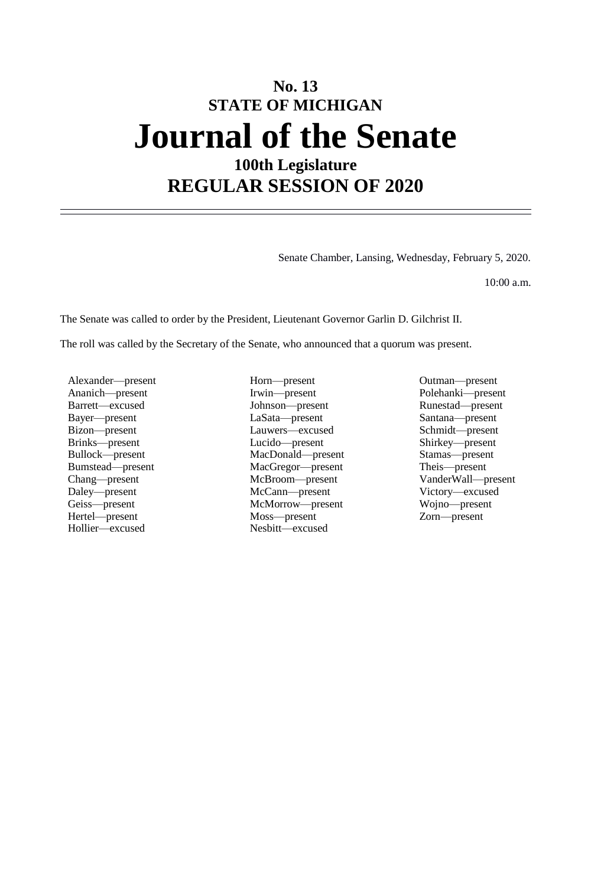# **No. 13 STATE OF MICHIGAN Journal of the Senate 100th Legislature**

**REGULAR SESSION OF 2020**

Senate Chamber, Lansing, Wednesday, February 5, 2020.

10:00 a.m.

The Senate was called to order by the President, Lieutenant Governor Garlin D. Gilchrist II.

The roll was called by the Secretary of the Senate, who announced that a quorum was present.

Alexander—present Horn—present Horn—present Outman—present Ananich—present Polehanki—present Hollier—excused Nesbitt—excused

Ananich—present Irwin—present Polehanki—present Barrett—excused Johnson—present Runestad—present Bayer—present LaSata—present Santana—present Bizon—present Lauwers—excused Schmidt—present Lucido—present Bullock—present MacDonald—present Stamas—present Bumstead—present MacGregor—present Chang—present McBroom—present Daley—present McCann—present Victory—excused Geiss—present McMorrow—present Wojno—present Hertel—present Moss—present Zorn—present

VanderWall—present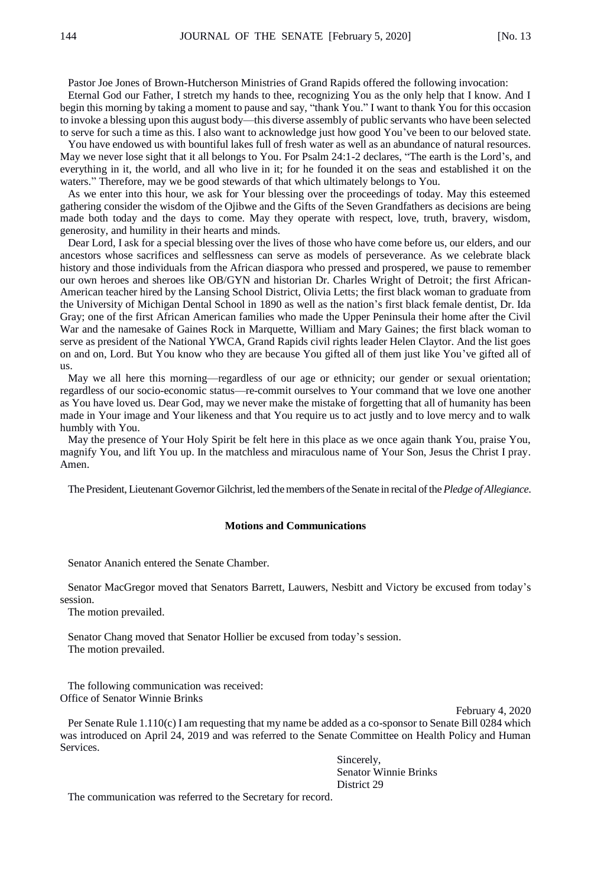Pastor Joe Jones of Brown-Hutcherson Ministries of Grand Rapids offered the following invocation:

Eternal God our Father, I stretch my hands to thee, recognizing You as the only help that I know. And I begin this morning by taking a moment to pause and say, "thank You." I want to thank You for this occasion to invoke a blessing upon this august body—this diverse assembly of public servants who have been selected to serve for such a time as this. I also want to acknowledge just how good You've been to our beloved state.

You have endowed us with bountiful lakes full of fresh water as well as an abundance of natural resources. May we never lose sight that it all belongs to You. For Psalm 24:1-2 declares, "The earth is the Lord's, and everything in it, the world, and all who live in it; for he founded it on the seas and established it on the waters." Therefore, may we be good stewards of that which ultimately belongs to You.

As we enter into this hour, we ask for Your blessing over the proceedings of today. May this esteemed gathering consider the wisdom of the Ojibwe and the Gifts of the Seven Grandfathers as decisions are being made both today and the days to come. May they operate with respect, love, truth, bravery, wisdom, generosity, and humility in their hearts and minds.

Dear Lord, I ask for a special blessing over the lives of those who have come before us, our elders, and our ancestors whose sacrifices and selflessness can serve as models of perseverance. As we celebrate black history and those individuals from the African diaspora who pressed and prospered, we pause to remember our own heroes and sheroes like OB/GYN and historian Dr. Charles Wright of Detroit; the first African-American teacher hired by the Lansing School District, Olivia Letts; the first black woman to graduate from the University of Michigan Dental School in 1890 as well as the nation's first black female dentist, Dr. Ida Gray; one of the first African American families who made the Upper Peninsula their home after the Civil War and the namesake of Gaines Rock in Marquette, William and Mary Gaines; the first black woman to serve as president of the National YWCA, Grand Rapids civil rights leader Helen Claytor. And the list goes on and on, Lord. But You know who they are because You gifted all of them just like You've gifted all of us.

May we all here this morning—regardless of our age or ethnicity; our gender or sexual orientation; regardless of our socio-economic status—re-commit ourselves to Your command that we love one another as You have loved us. Dear God, may we never make the mistake of forgetting that all of humanity has been made in Your image and Your likeness and that You require us to act justly and to love mercy and to walk humbly with You.

May the presence of Your Holy Spirit be felt here in this place as we once again thank You, praise You, magnify You, and lift You up. In the matchless and miraculous name of Your Son, Jesus the Christ I pray. Amen.

The President, Lieutenant Governor Gilchrist, led the members of the Senate in recital of the *Pledge of Allegiance*.

## **Motions and Communications**

Senator Ananich entered the Senate Chamber.

Senator MacGregor moved that Senators Barrett, Lauwers, Nesbitt and Victory be excused from today's session.

The motion prevailed.

Senator Chang moved that Senator Hollier be excused from today's session. The motion prevailed.

The following communication was received: Office of Senator Winnie Brinks

February 4, 2020

Per Senate Rule 1.110(c) I am requesting that my name be added as a co-sponsor to Senate Bill 0284 which was introduced on April 24, 2019 and was referred to the Senate Committee on Health Policy and Human Services.

> Sincerely, Senator Winnie Brinks District 29

The communication was referred to the Secretary for record.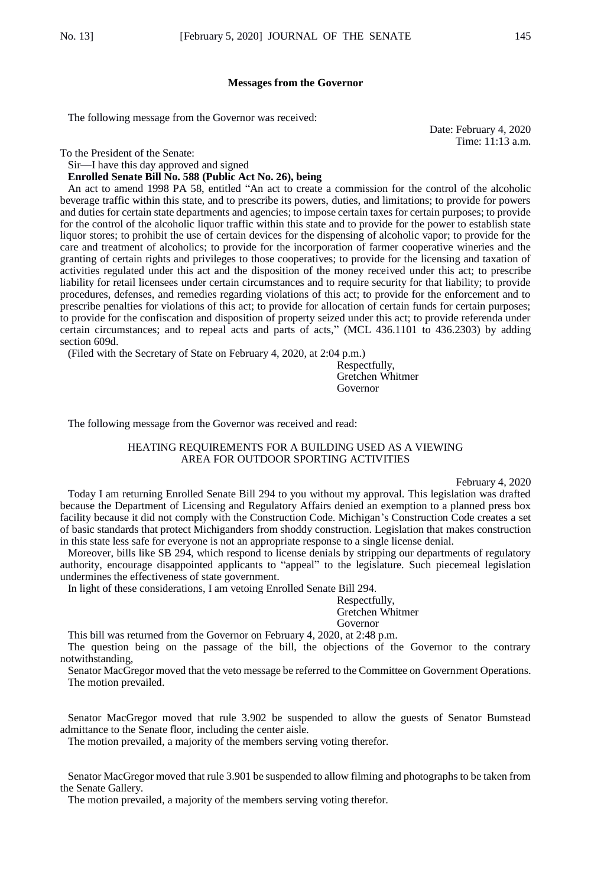## **Messages from the Governor**

The following message from the Governor was received:

Date: February 4, 2020 Time: 11:13 a.m.

To the President of the Senate:

Sir—I have this day approved and signed

#### **Enrolled Senate Bill No. 588 (Public Act No. 26), being**

An act to amend 1998 PA 58, entitled "An act to create a commission for the control of the alcoholic beverage traffic within this state, and to prescribe its powers, duties, and limitations; to provide for powers and duties for certain state departments and agencies; to impose certain taxes for certain purposes; to provide for the control of the alcoholic liquor traffic within this state and to provide for the power to establish state liquor stores; to prohibit the use of certain devices for the dispensing of alcoholic vapor; to provide for the care and treatment of alcoholics; to provide for the incorporation of farmer cooperative wineries and the granting of certain rights and privileges to those cooperatives; to provide for the licensing and taxation of activities regulated under this act and the disposition of the money received under this act; to prescribe liability for retail licensees under certain circumstances and to require security for that liability; to provide procedures, defenses, and remedies regarding violations of this act; to provide for the enforcement and to prescribe penalties for violations of this act; to provide for allocation of certain funds for certain purposes; to provide for the confiscation and disposition of property seized under this act; to provide referenda under certain circumstances; and to repeal acts and parts of acts," (MCL 436.1101 to 436.2303) by adding section 609d.

(Filed with the Secretary of State on February 4, 2020, at 2:04 p.m.)

Respectfully, Gretchen Whitmer Governor

The following message from the Governor was received and read:

## HEATING REQUIREMENTS FOR A BUILDING USED AS A VIEWING AREA FOR OUTDOOR SPORTING ACTIVITIES

February 4, 2020

Today I am returning Enrolled Senate Bill 294 to you without my approval. This legislation was drafted because the Department of Licensing and Regulatory Affairs denied an exemption to a planned press box facility because it did not comply with the Construction Code. Michigan's Construction Code creates a set of basic standards that protect Michiganders from shoddy construction. Legislation that makes construction in this state less safe for everyone is not an appropriate response to a single license denial.

Moreover, bills like SB 294, which respond to license denials by stripping our departments of regulatory authority, encourage disappointed applicants to "appeal" to the legislature. Such piecemeal legislation undermines the effectiveness of state government.

In light of these considerations, I am vetoing Enrolled Senate Bill 294.

Respectfully, Gretchen Whitmer Governor

This bill was returned from the Governor on February 4, 2020, at 2:48 p.m.

The question being on the passage of the bill, the objections of the Governor to the contrary notwithstanding,

Senator MacGregor moved that the veto message be referred to the Committee on Government Operations. The motion prevailed.

Senator MacGregor moved that rule 3.902 be suspended to allow the guests of Senator Bumstead admittance to the Senate floor, including the center aisle.

The motion prevailed, a majority of the members serving voting therefor.

Senator MacGregor moved that rule 3.901 be suspended to allow filming and photographs to be taken from the Senate Gallery.

The motion prevailed, a majority of the members serving voting therefor.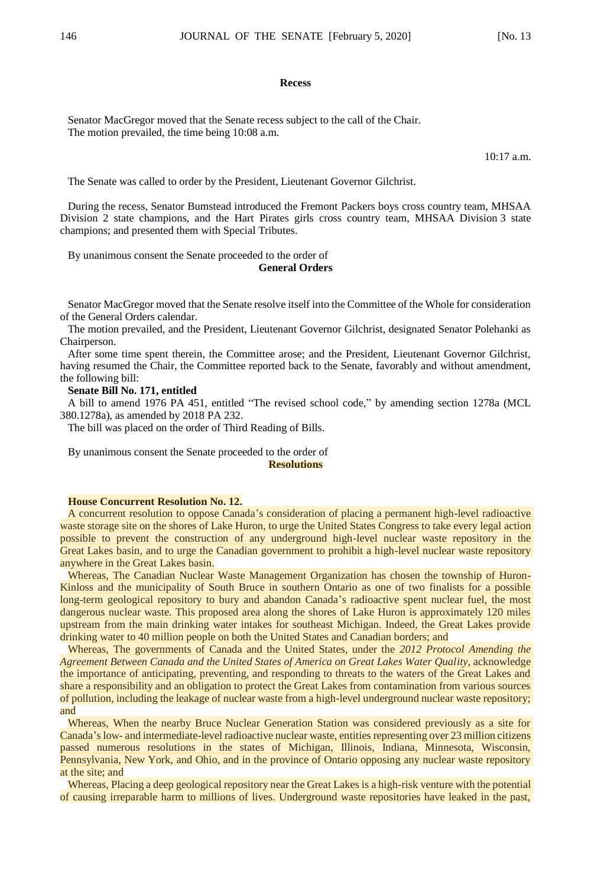#### **Recess**

Senator MacGregor moved that the Senate recess subject to the call of the Chair. The motion prevailed, the time being 10:08 a.m.

10:17 a.m.

The Senate was called to order by the President, Lieutenant Governor Gilchrist.

During the recess, Senator Bumstead introduced the Fremont Packers boys cross country team, MHSAA Division 2 state champions, and the Hart Pirates girls cross country team, MHSAA Division 3 state champions; and presented them with Special Tributes.

By unanimous consent the Senate proceeded to the order of

## **General Orders**

Senator MacGregor moved that the Senate resolve itself into the Committee of the Whole for consideration of the General Orders calendar.

The motion prevailed, and the President, Lieutenant Governor Gilchrist, designated Senator Polehanki as Chairperson.

After some time spent therein, the Committee arose; and the President, Lieutenant Governor Gilchrist, having resumed the Chair, the Committee reported back to the Senate, favorably and without amendment, the following bill:

**Senate Bill No. 171, entitled**

A bill to amend 1976 PA 451, entitled "The revised school code," by amending section 1278a (MCL 380.1278a), as amended by 2018 PA 232.

The bill was placed on the order of Third Reading of Bills.

By unanimous consent the Senate proceeded to the order of

#### **Resolutions**

#### **House Concurrent Resolution No. 12.**

A concurrent resolution to oppose Canada's consideration of placing a permanent high-level radioactive waste storage site on the shores of Lake Huron, to urge the United States Congress to take every legal action possible to prevent the construction of any underground high-level nuclear waste repository in the Great Lakes basin, and to urge the Canadian government to prohibit a high-level nuclear waste repository anywhere in the Great Lakes basin.

Whereas, The Canadian Nuclear Waste Management Organization has chosen the township of Huron-Kinloss and the municipality of South Bruce in southern Ontario as one of two finalists for a possible long-term geological repository to bury and abandon Canada's radioactive spent nuclear fuel, the most dangerous nuclear waste. This proposed area along the shores of Lake Huron is approximately 120 miles upstream from the main drinking water intakes for southeast Michigan. Indeed, the Great Lakes provide drinking water to 40 million people on both the United States and Canadian borders; and

Whereas, The governments of Canada and the United States, under the *2012 Protocol Amending the Agreement Between Canada and the United States of America on Great Lakes Water Quality*, acknowledge the importance of anticipating, preventing, and responding to threats to the waters of the Great Lakes and share a responsibility and an obligation to protect the Great Lakes from contamination from various sources of pollution, including the leakage of nuclear waste from a high-level underground nuclear waste repository; and

Whereas, When the nearby Bruce Nuclear Generation Station was considered previously as a site for Canada's low- and intermediate-level radioactive nuclear waste, entities representing over 23 million citizens passed numerous resolutions in the states of Michigan, Illinois, Indiana, Minnesota, Wisconsin, Pennsylvania, New York, and Ohio, and in the province of Ontario opposing any nuclear waste repository at the site; and

Whereas, Placing a deep geological repository near the Great Lakes is a high-risk venture with the potential of causing irreparable harm to millions of lives. Underground waste repositories have leaked in the past,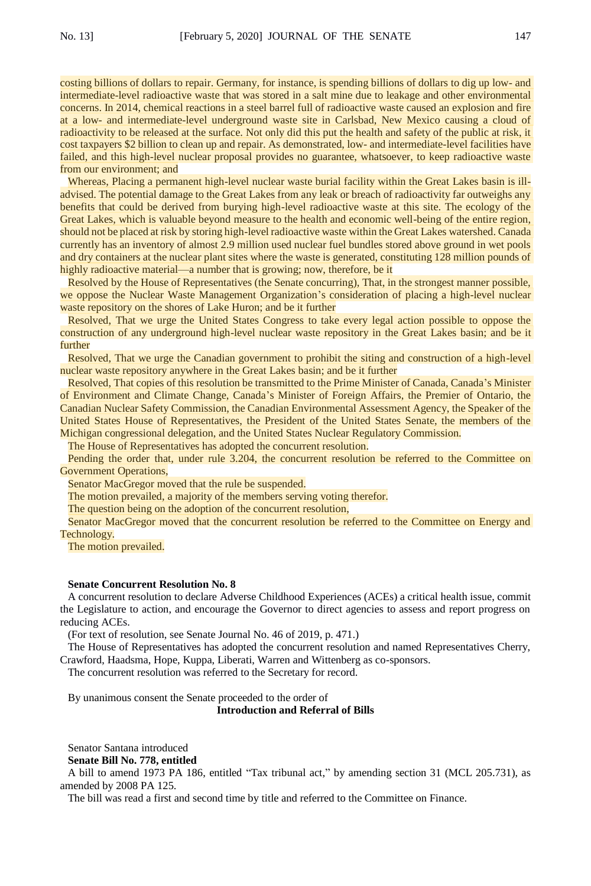costing billions of dollars to repair. Germany, for instance, is spending billions of dollars to dig up low- and intermediate-level radioactive waste that was stored in a salt mine due to leakage and other environmental concerns. In 2014, chemical reactions in a steel barrel full of radioactive waste caused an explosion and fire at a low- and intermediate-level underground waste site in Carlsbad, New Mexico causing a cloud of radioactivity to be released at the surface. Not only did this put the health and safety of the public at risk, it cost taxpayers \$2 billion to clean up and repair. As demonstrated, low- and intermediate-level facilities have failed, and this high-level nuclear proposal provides no guarantee, whatsoever, to keep radioactive waste from our environment; and

Whereas, Placing a permanent high-level nuclear waste burial facility within the Great Lakes basin is illadvised. The potential damage to the Great Lakes from any leak or breach of radioactivity far outweighs any benefits that could be derived from burying high-level radioactive waste at this site. The ecology of the Great Lakes, which is valuable beyond measure to the health and economic well-being of the entire region, should not be placed at risk by storing high-level radioactive waste within the Great Lakes watershed. Canada currently has an inventory of almost 2.9 million used nuclear fuel bundles stored above ground in wet pools and dry containers at the nuclear plant sites where the waste is generated, constituting 128 million pounds of highly radioactive material—a number that is growing; now, therefore, be it

Resolved by the House of Representatives (the Senate concurring), That, in the strongest manner possible, we oppose the Nuclear Waste Management Organization's consideration of placing a high-level nuclear waste repository on the shores of Lake Huron; and be it further

Resolved, That we urge the United States Congress to take every legal action possible to oppose the construction of any underground high-level nuclear waste repository in the Great Lakes basin; and be it further

Resolved, That we urge the Canadian government to prohibit the siting and construction of a high-level nuclear waste repository anywhere in the Great Lakes basin; and be it further

Resolved, That copies of this resolution be transmitted to the Prime Minister of Canada, Canada's Minister of Environment and Climate Change, Canada's Minister of Foreign Affairs, the Premier of Ontario, the Canadian Nuclear Safety Commission, the Canadian Environmental Assessment Agency, the Speaker of the United States House of Representatives, the President of the United States Senate, the members of the Michigan congressional delegation, and the United States Nuclear Regulatory Commission.

The House of Representatives has adopted the concurrent resolution.

Pending the order that, under rule 3.204, the concurrent resolution be referred to the Committee on Government Operations,

Senator MacGregor moved that the rule be suspended.

The motion prevailed, a majority of the members serving voting therefor.

The question being on the adoption of the concurrent resolution,

Senator MacGregor moved that the concurrent resolution be referred to the Committee on Energy and Technology.

The motion prevailed.

#### **Senate Concurrent Resolution No. 8**

A concurrent resolution to declare Adverse Childhood Experiences (ACEs) a critical health issue, commit the Legislature to action, and encourage the Governor to direct agencies to assess and report progress on reducing ACEs.

(For text of resolution, see Senate Journal No. 46 of 2019, p. 471.)

The House of Representatives has adopted the concurrent resolution and named Representatives Cherry, Crawford, Haadsma, Hope, Kuppa, Liberati, Warren and Wittenberg as co-sponsors.

The concurrent resolution was referred to the Secretary for record.

By unanimous consent the Senate proceeded to the order of

**Introduction and Referral of Bills**

Senator Santana introduced **Senate Bill No. 778, entitled**

A bill to amend 1973 PA 186, entitled "Tax tribunal act," by amending section 31 (MCL 205.731), as amended by 2008 PA 125.

The bill was read a first and second time by title and referred to the Committee on Finance.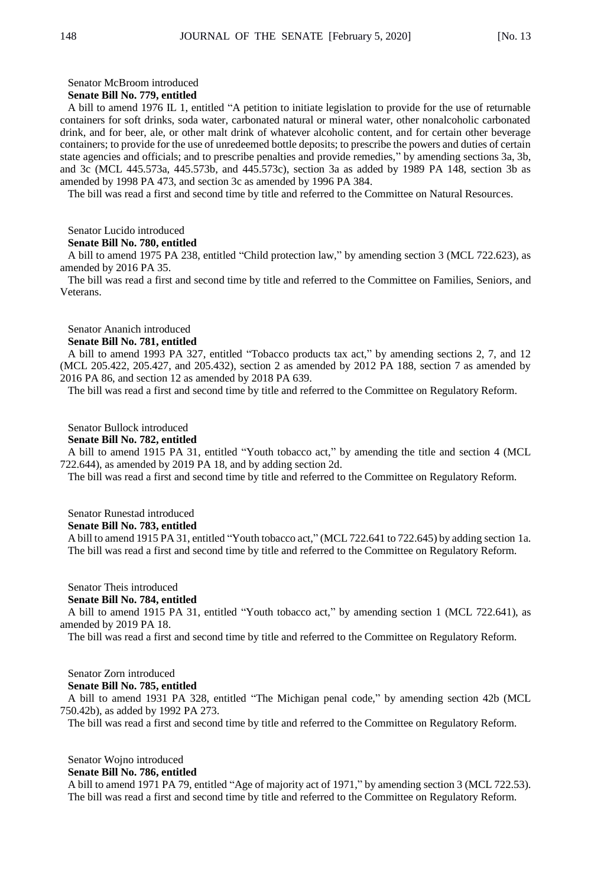### Senator McBroom introduced

## **Senate Bill No. 779, entitled**

A bill to amend 1976 IL 1, entitled "A petition to initiate legislation to provide for the use of returnable containers for soft drinks, soda water, carbonated natural or mineral water, other nonalcoholic carbonated drink, and for beer, ale, or other malt drink of whatever alcoholic content, and for certain other beverage containers; to provide for the use of unredeemed bottle deposits; to prescribe the powers and duties of certain state agencies and officials; and to prescribe penalties and provide remedies," by amending sections 3a, 3b, and 3c (MCL 445.573a, 445.573b, and 445.573c), section 3a as added by 1989 PA 148, section 3b as amended by 1998 PA 473, and section 3c as amended by 1996 PA 384.

The bill was read a first and second time by title and referred to the Committee on Natural Resources.

## Senator Lucido introduced

## **Senate Bill No. 780, entitled**

A bill to amend 1975 PA 238, entitled "Child protection law," by amending section 3 (MCL 722.623), as amended by 2016 PA 35.

The bill was read a first and second time by title and referred to the Committee on Families, Seniors, and Veterans.

Senator Ananich introduced

## **Senate Bill No. 781, entitled**

A bill to amend 1993 PA 327, entitled "Tobacco products tax act," by amending sections 2, 7, and 12 (MCL 205.422, 205.427, and 205.432), section 2 as amended by 2012 PA 188, section 7 as amended by 2016 PA 86, and section 12 as amended by 2018 PA 639.

The bill was read a first and second time by title and referred to the Committee on Regulatory Reform.

#### Senator Bullock introduced

## **Senate Bill No. 782, entitled**

A bill to amend 1915 PA 31, entitled "Youth tobacco act," by amending the title and section 4 (MCL 722.644), as amended by 2019 PA 18, and by adding section 2d.

The bill was read a first and second time by title and referred to the Committee on Regulatory Reform.

Senator Runestad introduced

## **Senate Bill No. 783, entitled**

A bill to amend 1915 PA 31, entitled "Youth tobacco act," (MCL 722.641 to 722.645) by adding section 1a. The bill was read a first and second time by title and referred to the Committee on Regulatory Reform.

## Senator Theis introduced **Senate Bill No. 784, entitled**

A bill to amend 1915 PA 31, entitled "Youth tobacco act," by amending section 1 (MCL 722.641), as amended by 2019 PA 18.

The bill was read a first and second time by title and referred to the Committee on Regulatory Reform.

## Senator Zorn introduced **Senate Bill No. 785, entitled**

A bill to amend 1931 PA 328, entitled "The Michigan penal code," by amending section 42b (MCL 750.42b), as added by 1992 PA 273.

The bill was read a first and second time by title and referred to the Committee on Regulatory Reform.

Senator Wojno introduced

## **Senate Bill No. 786, entitled**

A bill to amend 1971 PA 79, entitled "Age of majority act of 1971," by amending section 3 (MCL 722.53). The bill was read a first and second time by title and referred to the Committee on Regulatory Reform.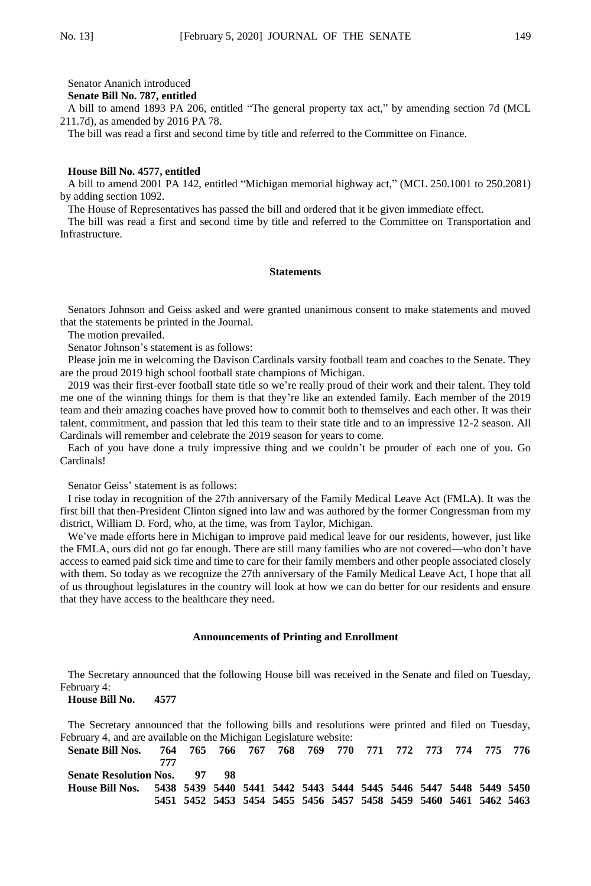Senator Ananich introduced

**Senate Bill No. 787, entitled**

A bill to amend 1893 PA 206, entitled "The general property tax act," by amending section 7d (MCL 211.7d), as amended by 2016 PA 78.

The bill was read a first and second time by title and referred to the Committee on Finance.

#### **House Bill No. 4577, entitled**

A bill to amend 2001 PA 142, entitled "Michigan memorial highway act," (MCL 250.1001 to 250.2081) by adding section 1092.

The House of Representatives has passed the bill and ordered that it be given immediate effect.

The bill was read a first and second time by title and referred to the Committee on Transportation and Infrastructure.

## **Statements**

Senators Johnson and Geiss asked and were granted unanimous consent to make statements and moved that the statements be printed in the Journal.

The motion prevailed.

Senator Johnson's statement is as follows:

Please join me in welcoming the Davison Cardinals varsity football team and coaches to the Senate. They are the proud 2019 high school football state champions of Michigan.

2019 was their first-ever football state title so we're really proud of their work and their talent. They told me one of the winning things for them is that they're like an extended family. Each member of the 2019 team and their amazing coaches have proved how to commit both to themselves and each other. It was their talent, commitment, and passion that led this team to their state title and to an impressive 12-2 season. All Cardinals will remember and celebrate the 2019 season for years to come.

Each of you have done a truly impressive thing and we couldn't be prouder of each one of you. Go Cardinals!

Senator Geiss' statement is as follows:

I rise today in recognition of the 27th anniversary of the Family Medical Leave Act (FMLA). It was the first bill that then-President Clinton signed into law and was authored by the former Congressman from my district, William D. Ford, who, at the time, was from Taylor, Michigan.

We've made efforts here in Michigan to improve paid medical leave for our residents, however, just like the FMLA, ours did not go far enough. There are still many families who are not covered—who don't have access to earned paid sick time and time to care for their family members and other people associated closely with them. So today as we recognize the 27th anniversary of the Family Medical Leave Act, I hope that all of us throughout legislatures in the country will look at how we can do better for our residents and ensure that they have access to the healthcare they need.

## **Announcements of Printing and Enrollment**

The Secretary announced that the following House bill was received in the Senate and filed on Tuesday, February 4:

#### **House Bill No. 4577**

The Secretary announced that the following bills and resolutions were printed and filed on Tuesday, February 4, and are available on the Michigan Legislature website:

**Senate Bill Nos. 764 765 766 767 768 769 770 771 772 773 774 775 776 777 Senate Resolution Nos. 97 98 House Bill Nos. 5438 5439 5440 5441 5442 5443 5444 5445 5446 5447 5448 5449 5450 5451 5452 5453 5454 5455 5456 5457 5458 5459 5460 5461 5462 5463**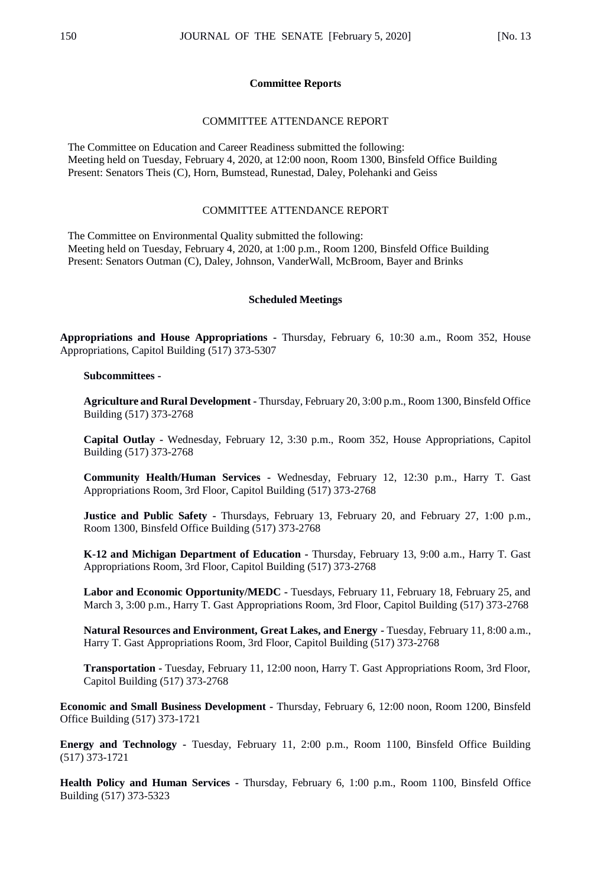## **Committee Reports**

## COMMITTEE ATTENDANCE REPORT

The Committee on Education and Career Readiness submitted the following: Meeting held on Tuesday, February 4, 2020, at 12:00 noon, Room 1300, Binsfeld Office Building Present: Senators Theis (C), Horn, Bumstead, Runestad, Daley, Polehanki and Geiss

## COMMITTEE ATTENDANCE REPORT

The Committee on Environmental Quality submitted the following: Meeting held on Tuesday, February 4, 2020, at 1:00 p.m., Room 1200, Binsfeld Office Building Present: Senators Outman (C), Daley, Johnson, VanderWall, McBroom, Bayer and Brinks

#### **Scheduled Meetings**

**Appropriations and House Appropriations -** Thursday, February 6, 10:30 a.m., Room 352, House Appropriations, Capitol Building (517) 373-5307

## **Subcommittees -**

**Agriculture and Rural Development -** Thursday, February 20, 3:00 p.m., Room 1300, Binsfeld Office Building (517) 373-2768

**Capital Outlay -** Wednesday, February 12, 3:30 p.m., Room 352, House Appropriations, Capitol Building (517) 373-2768

**Community Health/Human Services -** Wednesday, February 12, 12:30 p.m., Harry T. Gast Appropriations Room, 3rd Floor, Capitol Building (517) 373-2768

**Justice and Public Safety -** Thursdays, February 13, February 20, and February 27, 1:00 p.m., Room 1300, Binsfeld Office Building (517) 373-2768

**K-12 and Michigan Department of Education -** Thursday, February 13, 9:00 a.m., Harry T. Gast Appropriations Room, 3rd Floor, Capitol Building (517) 373-2768

**Labor and Economic Opportunity/MEDC -** Tuesdays, February 11, February 18, February 25, and March 3, 3:00 p.m., Harry T. Gast Appropriations Room, 3rd Floor, Capitol Building (517) 373-2768

**Natural Resources and Environment, Great Lakes, and Energy -** Tuesday, February 11, 8:00 a.m., Harry T. Gast Appropriations Room, 3rd Floor, Capitol Building (517) 373-2768

**Transportation -** Tuesday, February 11, 12:00 noon, Harry T. Gast Appropriations Room, 3rd Floor, Capitol Building (517) 373-2768

**Economic and Small Business Development -** Thursday, February 6, 12:00 noon, Room 1200, Binsfeld Office Building (517) 373-1721

**Energy and Technology -** Tuesday, February 11, 2:00 p.m., Room 1100, Binsfeld Office Building (517) 373-1721

**Health Policy and Human Services -** Thursday, February 6, 1:00 p.m., Room 1100, Binsfeld Office Building (517) 373-5323